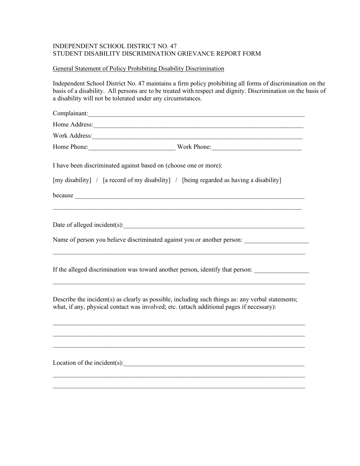## INDEPENDENT SCHOOL DISTRICT NO. 47 STUDENT DISABILITY DISCRIMINATION GRIEVANCE REPORT FORM

## General Statement of Policy Prohibiting Disability Discrimination

Independent School District No. 47 maintains a firm policy prohibiting all forms of discrimination on the basis of a disability. All persons are to be treated with respect and dignity. Discrimination on the basis of a disability will not be tolerated under any circumstances.

| Complainant:                                                                                                                                                                                                                  |
|-------------------------------------------------------------------------------------------------------------------------------------------------------------------------------------------------------------------------------|
|                                                                                                                                                                                                                               |
| Work Address: North American Contract of the Second Contract of the Second Contract of the Second Contract of the Second Contract of the Second Contract of the Second Contract of the Second Contract of the Second Contract |
|                                                                                                                                                                                                                               |
| I have been discriminated against based on (choose one or more):                                                                                                                                                              |
| [my disability] / [a record of my disability] / [being regarded as having a disability]                                                                                                                                       |
| because <u>experience</u>                                                                                                                                                                                                     |
| Date of alleged incident(s): 1000 million and the contract of alleged incident(s):                                                                                                                                            |
| Name of person you believe discriminated against you or another person:                                                                                                                                                       |
| If the alleged discrimination was toward another person, identify that person:                                                                                                                                                |
| Describe the incident(s) as clearly as possible, including such things as: any verbal statements;<br>what, if any, physical contact was involved; etc. (attach additional pages if necessary):                                |
|                                                                                                                                                                                                                               |
| Location of the incident(s): $\frac{1}{2}$                                                                                                                                                                                    |
|                                                                                                                                                                                                                               |